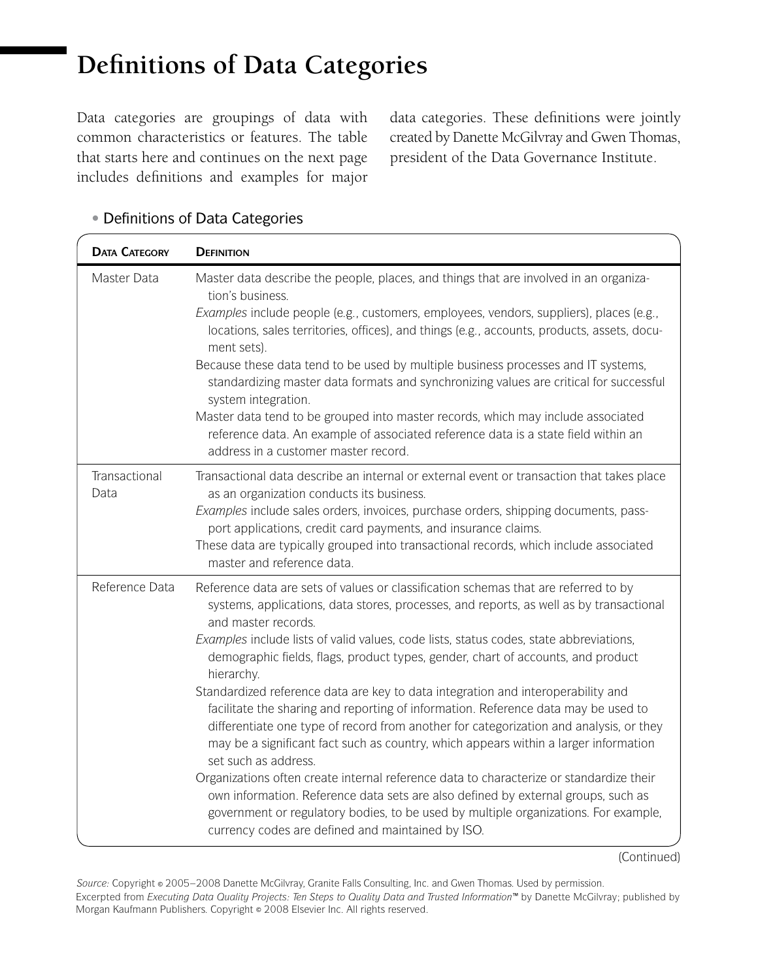## **Definitions of Data Categories**

Data categories are groupings of data with common characteristics or features. The table that starts here and continues on the next page includes definitions and examples for major

data categories. These definitions were jointly created by Danette McGilvray and Gwen Thomas, president of the Data Governance Institute.

| <b>DATA CATEGORY</b>  | <b>DEFINITION</b>                                                                                                                                                                                                                                                                                                                                                                                                                                                                                                                                                                                                                                                                                                                                                                                                                                                                                                                                                                                                                                                                                                 |
|-----------------------|-------------------------------------------------------------------------------------------------------------------------------------------------------------------------------------------------------------------------------------------------------------------------------------------------------------------------------------------------------------------------------------------------------------------------------------------------------------------------------------------------------------------------------------------------------------------------------------------------------------------------------------------------------------------------------------------------------------------------------------------------------------------------------------------------------------------------------------------------------------------------------------------------------------------------------------------------------------------------------------------------------------------------------------------------------------------------------------------------------------------|
| Master Data           | Master data describe the people, places, and things that are involved in an organiza-<br>tion's business.<br>Examples include people (e.g., customers, employees, vendors, suppliers), places (e.g.,<br>locations, sales territories, offices), and things (e.g., accounts, products, assets, docu-<br>ment sets).<br>Because these data tend to be used by multiple business processes and IT systems,<br>standardizing master data formats and synchronizing values are critical for successful<br>system integration.<br>Master data tend to be grouped into master records, which may include associated<br>reference data. An example of associated reference data is a state field within an<br>address in a customer master record.                                                                                                                                                                                                                                                                                                                                                                        |
| Transactional<br>Data | Transactional data describe an internal or external event or transaction that takes place<br>as an organization conducts its business.<br>Examples include sales orders, invoices, purchase orders, shipping documents, pass-<br>port applications, credit card payments, and insurance claims.<br>These data are typically grouped into transactional records, which include associated<br>master and reference data.                                                                                                                                                                                                                                                                                                                                                                                                                                                                                                                                                                                                                                                                                            |
| Reference Data        | Reference data are sets of values or classification schemas that are referred to by<br>systems, applications, data stores, processes, and reports, as well as by transactional<br>and master records.<br>Examples include lists of valid values, code lists, status codes, state abbreviations,<br>demographic fields, flags, product types, gender, chart of accounts, and product<br>hierarchy.<br>Standardized reference data are key to data integration and interoperability and<br>facilitate the sharing and reporting of information. Reference data may be used to<br>differentiate one type of record from another for categorization and analysis, or they<br>may be a significant fact such as country, which appears within a larger information<br>set such as address.<br>Organizations often create internal reference data to characterize or standardize their<br>own information. Reference data sets are also defined by external groups, such as<br>government or regulatory bodies, to be used by multiple organizations. For example,<br>currency codes are defined and maintained by ISO. |

## **•** Definitions of Data Categories

(Continued)

Excerpted from *Executing Data Quality Projects: Ten Steps to Quality Data and Trusted Information™* by Danette McGilvray; published by Morgan Kaufmann Publishers. Copyright © 2008 Elsevier Inc. All rights reserved. *Source:* Copyright © 2005 –2008 Danette McGilvray, Granite Falls Consulting, Inc. and Gwen Thomas. Used by permission.